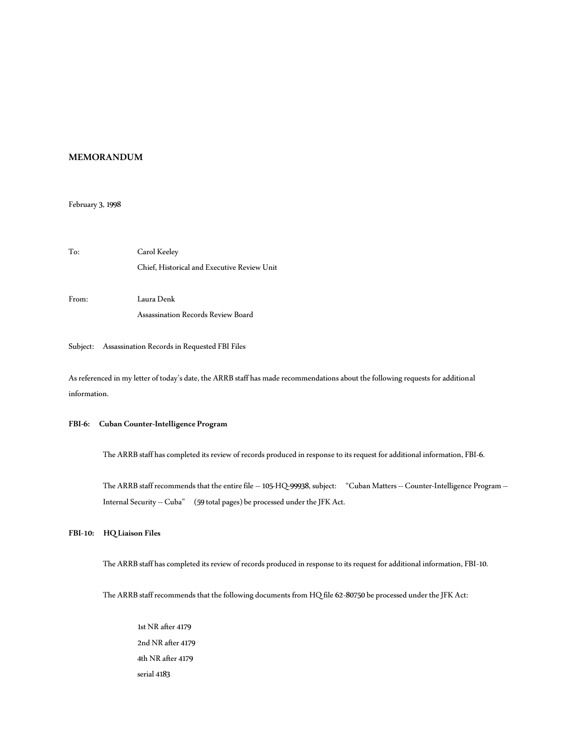## **MEMORANDUM**

### February 3, 1998

To: Carol Keeley Chief, Historical and Executive Review Unit From: Laura Denk Assassination Records Review Board

## Subject: Assassination Records in Requested FBI Files

As referenced in my letter of today's date, the ARRB staff has made recommendations about the following requests for additional information.

## **FBI-6: Cuban Counter-Intelligence Program**

The ARRB staff has completed its review of records produced in response to its request for additional information, FBI-6.

The ARRB staff recommends that the entire file -- 105-HQ-99938, subject: "Cuban Matters -- Counter-Intelligence Program --Internal Security -- Cuba" (59 total pages) be processed under the JFK Act.

**FBI-10: HQ Liaison Files**

The ARRB staff has completed its review of records produced in response to its request for additional information, FBI-10.

The ARRB staff recommends that the following documents from HQ file 62-80750 be processed under the JFK Act:

1st NR after 4179 2nd NR after 4179 4th NR after 4179 serial 4183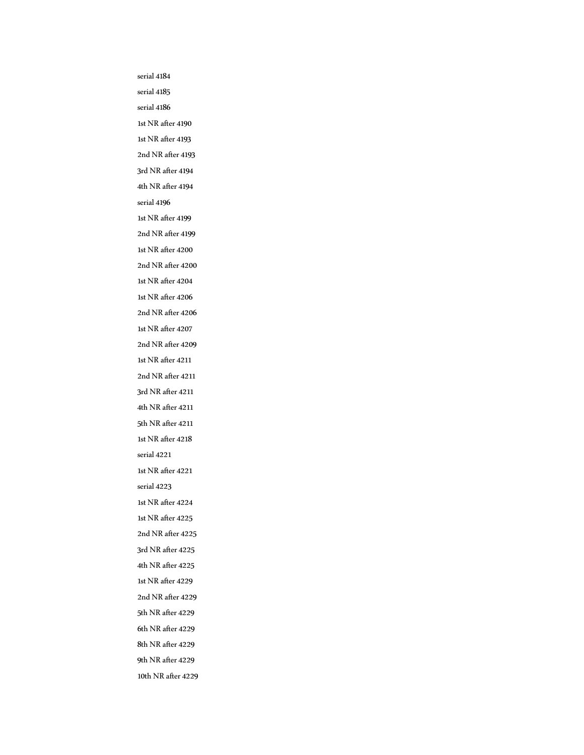serial 4184 serial 4185 serial 4186 1st NR after 4190 1st NR after 4193 2nd NR after 4193 3rd NR after 4194 4th NR after 4194 serial 4196 1st NR after 4199 2nd NR after 4199 1st NR after 4200 2nd NR after 4200 1st NR after 4204 1st NR after 4206 2nd NR after 4206 1st NR after 4207 2nd NR after 4209 1st NR after 4211 2nd NR after 4211 3rd NR after 4211 4th NR after 4211 5th NR after 4211 1st NR after 4218 serial 4221 1st NR after 4221 serial 4223 1st NR after 4224 1st NR after 4225 2nd NR after 4225 3rd NR after 4225 4th NR after 4225 1st NR after 4229 2nd NR after 4229 5th NR after 4229 6th NR after 4229 8th NR after 4229 9th NR after 4229 10th NR after 4229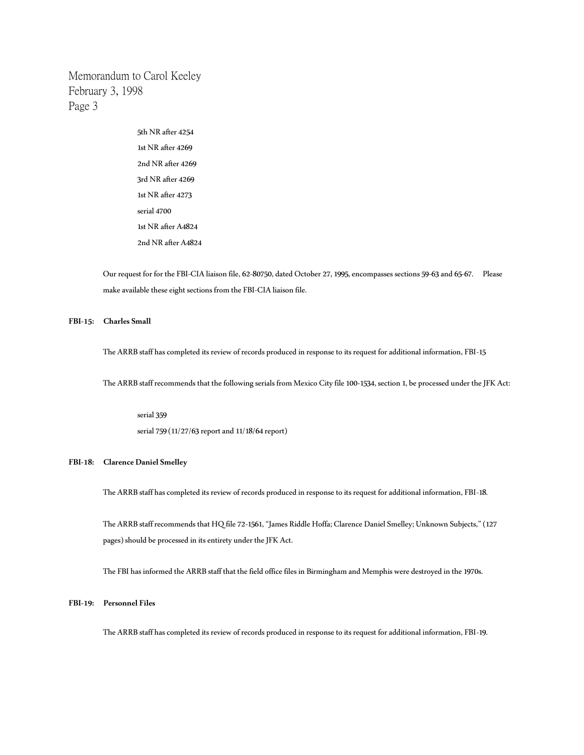> 5th NR after 4254 1st NR after 4269 2nd NR after 4269 3rd NR after 4269 1st NR after 4273 serial 4700 1st NR after A4824 2nd NR after A4824

Our request for for the FBI-CIA liaison file, 62-80750, dated October 27, 1995, encompasses sections 59-63 and 65-67. Please make available these eight sections from the FBI-CIA liaison file.

## **FBI-15: Charles Small**

The ARRB staff has completed its review of records produced in response to its request for additional information, FBI-15

The ARRB staff recommends that the following serials from Mexico City file 100-1534, section 1, be processed under the JFK Act:

serial 359 serial 759 (11/27/63 report and 11/18/64 report)

## **FBI-18: Clarence Daniel Smelley**

The ARRB staff has completed its review of records produced in response to its request for additional information, FBI-18.

The ARRB staff recommends that HQ file 72-1561, "James Riddle Hoffa; Clarence Daniel Smelley; Unknown Subjects," (127 pages) should be processed in its entirety under the JFK Act.

The FBI has informed the ARRB staff that the field office files in Birmingham and Memphis were destroyed in the 1970s.

## **FBI-19: Personnel Files**

The ARRB staff has completed its review of records produced in response to its request for additional information, FBI-19.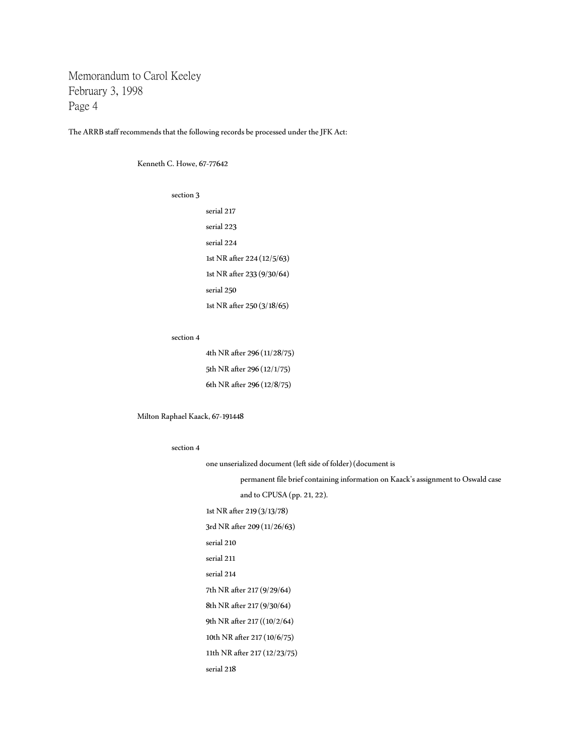The ARRB staff recommends that the following records be processed under the JFK Act:

Kenneth C. Howe, 67-77642

section 3

serial 217 serial 223 serial 224 1st NR after 224 (12/5/63) 1st NR after 233 (9/30/64) serial 250 1st NR after 250 (3/18/65)

#### section 4

| 4th NR after 296 (11/28/75) |
|-----------------------------|
| 5th NR after 296 (12/1/75)  |
| 6th NR after 296 (12/8/75)  |

Milton Raphael Kaack, 67-191448

#### section 4

one unserialized document (left side of folder) (document is permanent file brief containing information on Kaack's assignment to Oswald case and to CPUSA (pp. 21, 22). 1st NR after 219 (3/13/78) 3rd NR after 209 (11/26/63) serial 210 serial 211 serial 214 7th NR after 217 (9/29/64) 8th NR after 217 (9/30/64) 9th NR after 217 ((10/2/64) 10th NR after 217 (10/6/75) 11th NR after 217 (12/23/75)

```
serial 218
```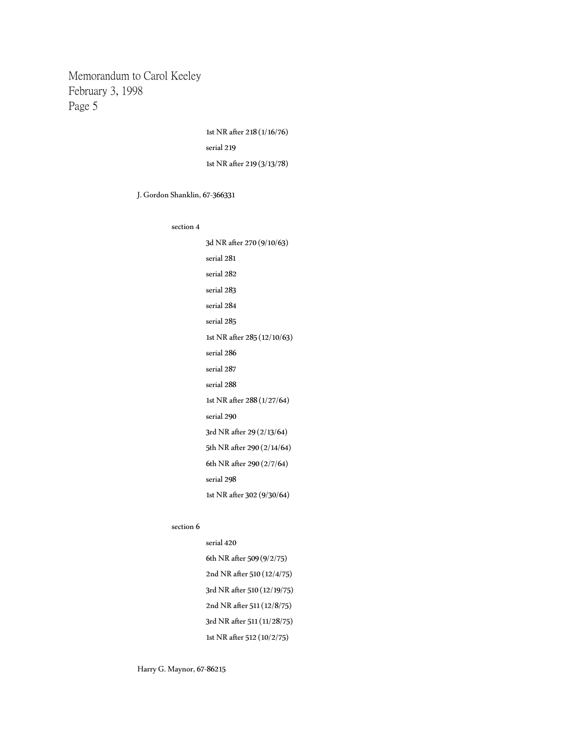> 1st NR after 218 (1/16/76) serial 219 1st NR after 219 (3/13/78)

J. Gordon Shanklin, 67-366331

#### section 4

| 3d NR after 270 (9/10/63)   |
|-----------------------------|
| serial 281                  |
| serial 282                  |
| serial 283                  |
| serial 284                  |
| serial 285                  |
| 1st NR after 285 (12/10/63) |
| serial 286                  |
| serial 287                  |
| serial 288                  |
| 1st NR after 288 (1/27/64)  |
| serial 290                  |
| 3rd NR after 29 (2/13/64)   |
| 5th NR after 290 (2/14/64)  |
| 6th NR after 290 (2/7/64)   |
| serial 298                  |
| 1st NR after 302 (9/30/64)  |

section 6

| serial 420 |                             |
|------------|-----------------------------|
|            | 6th NR after 509 (9/2/75)   |
|            | 2nd NR after 510 (12/4/75)  |
|            | 3rd NR after 510 (12/19/75) |
|            | 2nd NR after 511 (12/8/75)  |
|            | 3rd NR after 511 (11/28/75) |
|            | 1st NR after 512 (10/2/75)  |

Harry G. Maynor, 67-86215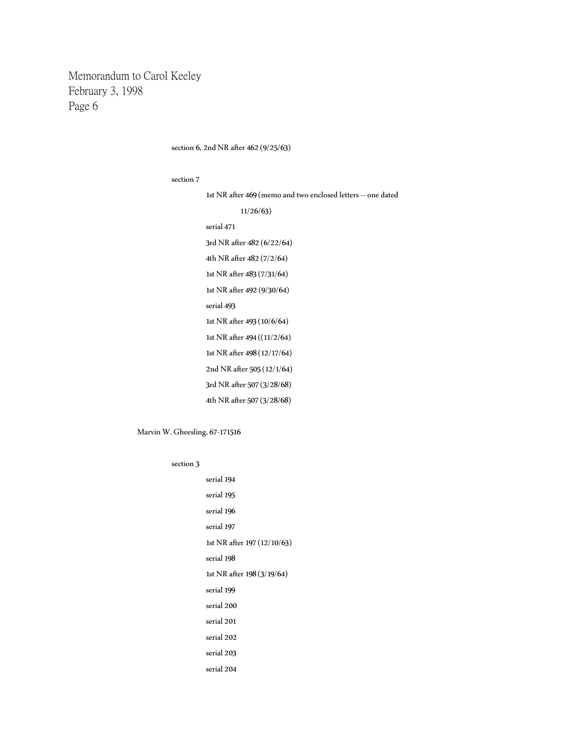section 6, 2nd NR after 462 (9/25/63)

#### section 7

1st NR after 469 (memo and two enclosed letters -- one dated

11/26/63) serial 471 3rd NR after 482 (6/22/64) 4th NR after 482 (7/2/64) 1st NR after 483 (7/31/64) 1st NR after 492 (9/30/64) serial 493 1st NR after 493 (10/6/64) 1st NR after 494 ((11/2/64) 1st NR after 498 (12/17/64) 2nd NR after 505 (12/1/64) 3rd NR after 507 (3/28/68) 4th NR after 507 (3/28/68)

#### Marvin W. Gheesling, 67-171516

section 3

serial 194 serial 195 serial 196 serial 197 1st NR after 197 (12/10/63) serial 198 1st NR after 198 (3/19/64) serial 199 serial 200 serial 201 serial 202 serial 203 serial 204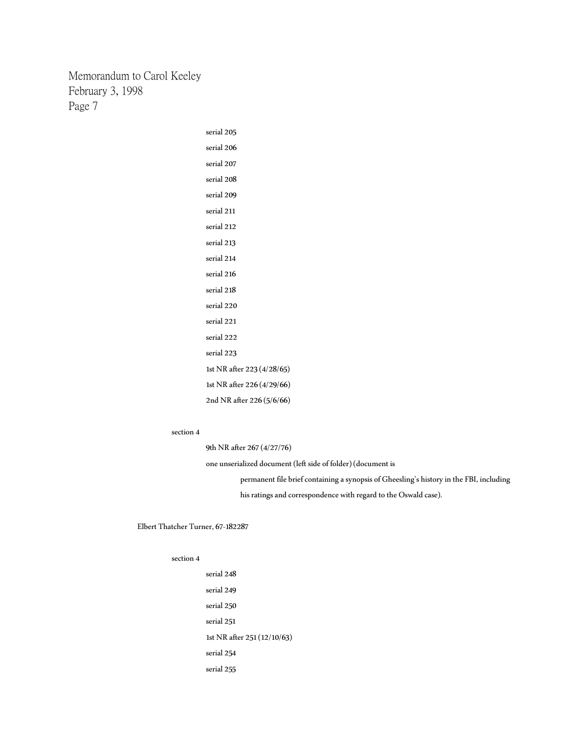> serial 205 serial 206 serial 207 serial 208 serial 209 serial 211 serial 212 serial 213 serial 214 serial 216 serial 218 serial 220 serial 221 serial 222 serial 223 1st NR after 223 (4/28/65) 1st NR after 226 (4/29/66) 2nd NR after 226 (5/6/66)

#### section 4

9th NR after 267 (4/27/76)

one unserialized document (left side of folder) (document is

permanent file brief containing a synopsis of Gheesling's history in the FBI, including his ratings and correspondence with regard to the Oswald case).

Elbert Thatcher Turner, 67-182287

### section 4

serial 248 serial 249 serial 250 serial 251 1st NR after 251 (12/10/63) serial 254 serial 255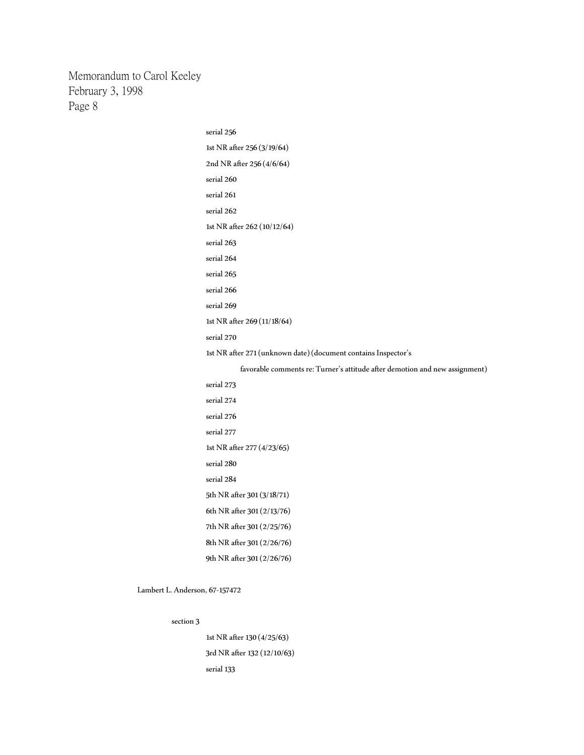> serial 256 1st NR after 256 (3/19/64) 2nd NR after 256 (4/6/64) serial 260 serial 261 serial 262 1st NR after 262 (10/12/64) serial 263 serial 264 serial 265 serial 266 serial 269 1st NR after 269 (11/18/64) serial 270 1st NR after 271 (unknown date) (document contains Inspector's favorable comments re: Turner's attitude after demotion and new assignment) serial 273 serial 274 serial 276 serial 277 1st NR after 277 (4/23/65) serial 280 serial 284 5th NR after 301 (3/18/71) 6th NR after 301 (2/13/76) 7th NR after 301 (2/25/76) 8th NR after 301 (2/26/76)

section 3

Lambert L. Anderson, 67-157472

1st NR after 130 (4/25/63) 3rd NR after 132 (12/10/63) serial 133

9th NR after 301 (2/26/76)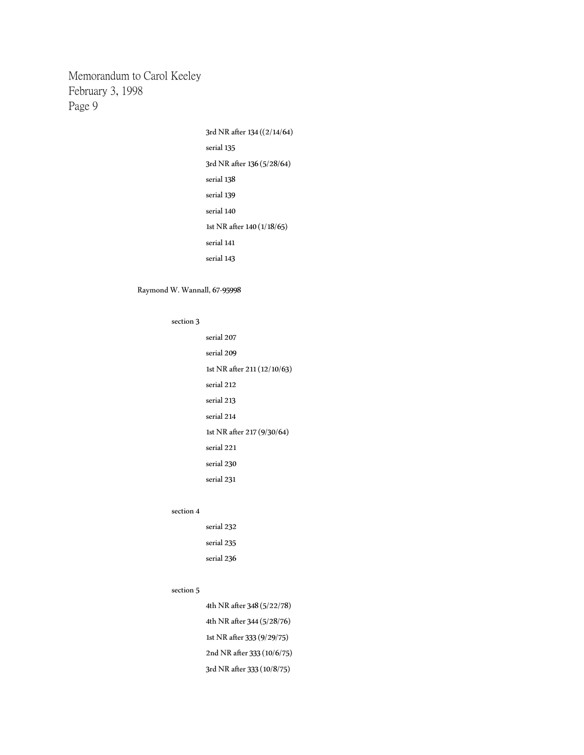> 3rd NR after 134 ((2/14/64) serial 135 3rd NR after 136 (5/28/64) serial 138 serial 139 serial 140 1st NR after 140 (1/18/65) serial 141 serial 143

## Raymond W. Wannall, 67-95998

#### section 3

serial 207 serial 209 1st NR after 211 (12/10/63) serial 212 serial 213 serial 214 1st NR after 217 (9/30/64) serial 221 serial 230 serial 231

#### section 4

serial 232 serial 235 serial 236

## section 5

4th NR after 348 (5/22/78) 4th NR after 344 (5/28/76) 1st NR after 333 (9/29/75) 2nd NR after 333 (10/6/75) 3rd NR after 333 (10/8/75)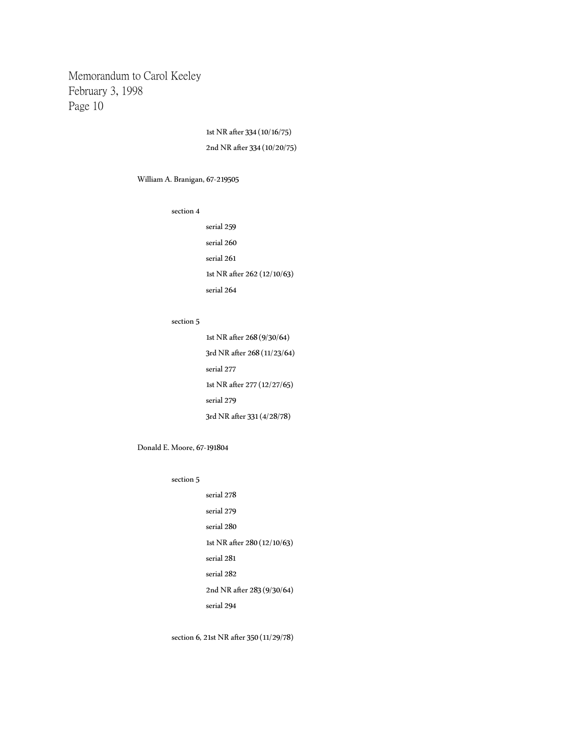> 1st NR after 334 (10/16/75) 2nd NR after 334 (10/20/75)

William A. Branigan, 67-219505

section 4

serial 259 serial 260 serial 261 1st NR after 262(12/10/63) serial 264

### section 5

1st NR after 268 (9/30/64) 3rd NR after 268 (11/23/64) serial 277 1st NR after 277 (12/27/65) serial 279 3rd NR after 331 (4/28/78)

Donald E. Moore, 67-191804

#### section 5

serial 278 serial 279 serial 280 1st NR after 280 (12/10/63) serial 281 serial 282 2nd NR after 283 (9/30/64) serial 294

section 6, 21st NR after 350 (11/29/78)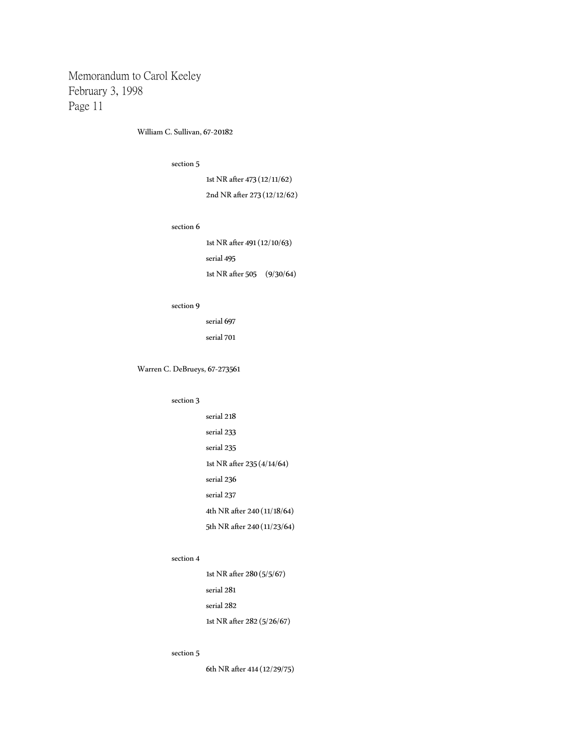William C. Sullivan, 67-20182

## section 5

1st NR after 473 (12/11/62) 2nd NR after 273 (12/12/62)

### section 6

1st NR after 491 (12/10/63) serial 495 1st NR after 505 (9/30/64)

## section 9

serial 697 serial 701

## Warren C. DeBrueys, 67-273561

## section 3

serial 218 serial 233 serial 235 1st NR after 235 (4/14/64) serial 236 serial 237 4th NR after 240 (11/18/64) 5th NR after 240 (11/23/64)

## section 4

1st NR after 280 (5/5/67) serial 281 serial 282 1st NR after 282 (5/26/67)

#### section 5

6th NR after 414 (12/29/75)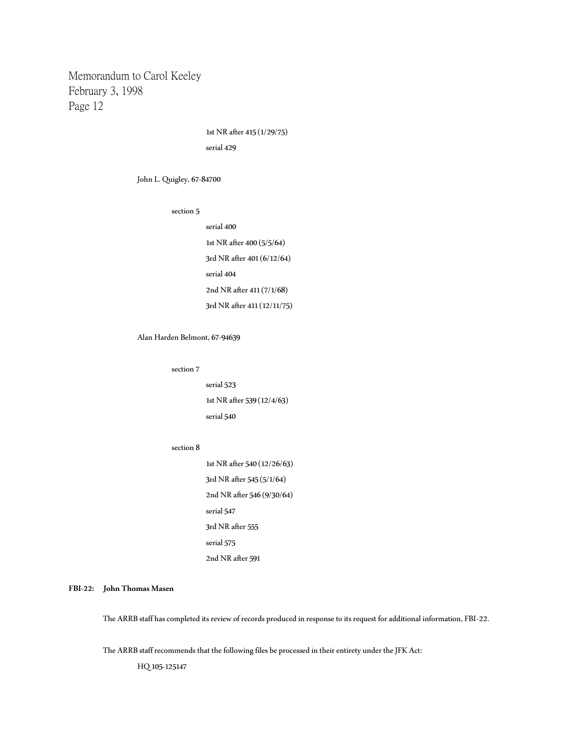> 1st NR after 415 (1/29/75) serial 429

John L. Quigley, 67-84700

section 5

serial 400 1st NR after 400 (5/5/64) 3rd NR after 401 (6/12/64) serial 404 2nd NR after 411 (7/1/68) 3rd NR after 411 (12/11/75)

Alan Harden Belmont, 67-94639

section 7

serial 523 1st NR after 539 (12/4/63) serial 540

#### section 8

1st NR after 540 (12/26/63) 3rd NR after 545 (5/1/64) 2nd NR after 546 (9/30/64) serial 547 3rd NR after 555 serial 575 2nd NR after 591

**FBI-22: John Thomas Masen**

The ARRB staff has completed its review of records produced in response to its request for additional information, FBI-22.

The ARRB staff recommends that the following files be processed in their entirety under the JFK Act:

HQ 105-125147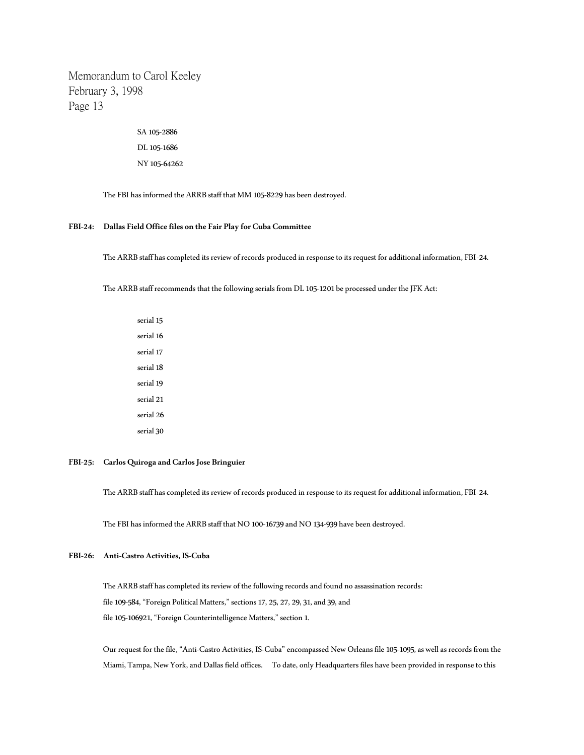> SA 105-2886 DL 105-1686 NY 105-64262

The FBI has informed the ARRB staff that MM 105-8229 has been destroyed.

### **FBI-24: Dallas Field Office files on the Fair Play for Cuba Committee**

The ARRB staff has completed its review of records produced in response to its request for additional information, FBI-24.

The ARRB staff recommends that the following serials from DL 105-1201 be processed under the JFK Act:

serial 15 serial 16 serial 17 serial 18 serial 19 serial 21 serial 26 serial 30

## **FBI-25: Carlos Quiroga and Carlos Jose Bringuier**

The ARRB staff has completed its review of records produced in response to its request for additional information, FBI-24.

The FBI has informed the ARRB staff that NO 100-16739 and NO 134-939 have been destroyed.

## **FBI-26: Anti-Castro Activities, IS-Cuba**

The ARRB staff has completed its review of the following records and found no assassination records: file 109-584, "Foreign Political Matters," sections 17, 25, 27, 29, 31, and 39, and file 105-106921, "Foreign Counterintelligence Matters," section 1.

Our request for the file, "Anti-Castro Activities, IS-Cuba" encompassed New Orleans file 105-1095, as well as records from the Miami, Tampa, New York, and Dallas field offices. To date, only Headquarters files have been provided in response to this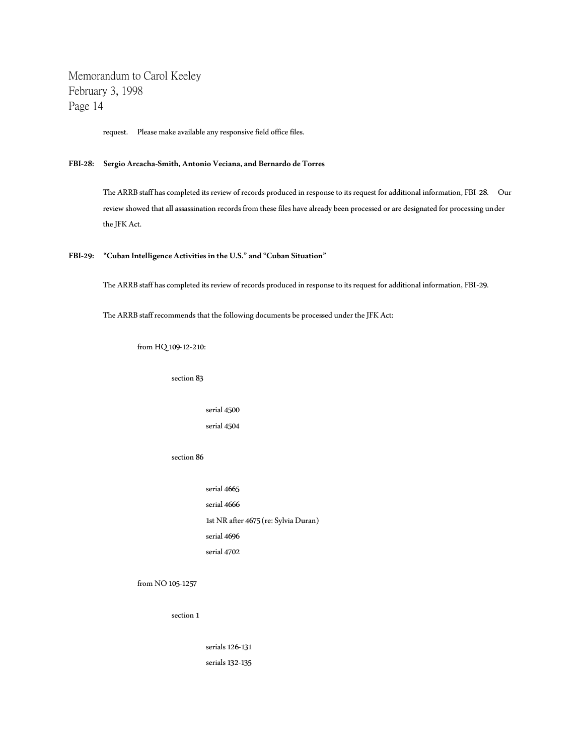request. Please make available any responsive field office files.

### **FBI-28: Sergio Arcacha-Smith, Antonio Veciana, and Bernardo de Torres**

The ARRB staff has completed its review of records produced in response to its request for additional information, FBI-28. Our review showed that all assassination records from these files have already been processed or are designated for processing under the JFK Act.

### **FBI-29: "Cuban Intelligence Activities in the U.S." and "Cuban Situation"**

The ARRB staff has completed its review of records produced in response to its request for additional information, FBI-29.

The ARRB staff recommends that the following documents be processed under the JFK Act:

from HQ 109-12-210:

section 83

serial 4500 serial 4504

section 86

serial 4665 serial 4666 1st NR after 4675 (re: Sylvia Duran) serial 4696 serial 4702

from NO 105-1257

section 1

serials 126-131 serials 132-135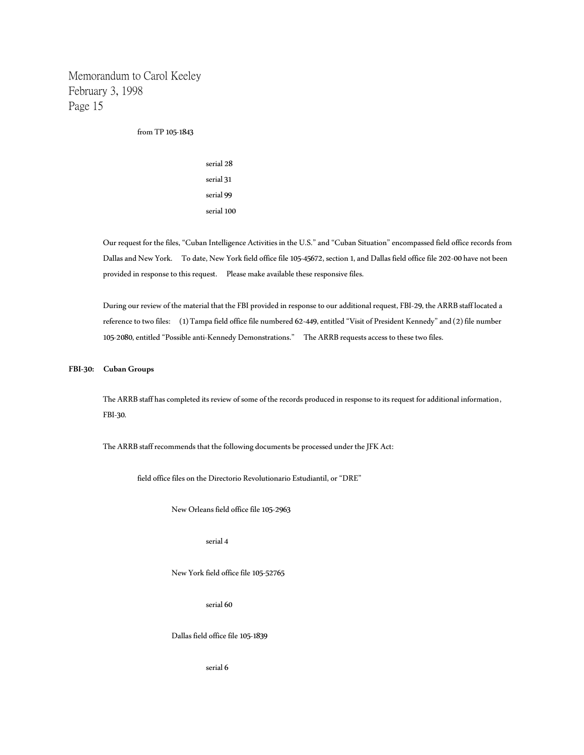from TP 105-1843

serial 28 serial 31 serial 99 serial 100

Our request for the files, "Cuban Intelligence Activities in the U.S." and "Cuban Situation" encompassed field office records from Dallas and New York. To date, New York field office file 105-45672, section 1, and Dallas field office file 202-00 have not been provided in response to this request. Please make available these responsive files.

During our review of the material that the FBI provided in response to our additional request, FBI-29, the ARRB staff located a reference to two files: (1) Tampa field office file numbered 62-449, entitled "Visit of President Kennedy" and (2) file number 105-2080, entitled "Possible anti-Kennedy Demonstrations." The ARRB requests access to these two files.

#### **FBI-30: Cuban Groups**

The ARRB staff has completed its review of some of the records produced in response to its request for additional information, FBI-30.

The ARRB staff recommends that the following documents be processed under the JFK Act:

field office files on the Directorio Revolutionario Estudiantil, or "DRE"

New Orleans field office file 105-2963

serial 4

New York field office file 105-52765

serial 60

Dallas field office file 105-1839

serial 6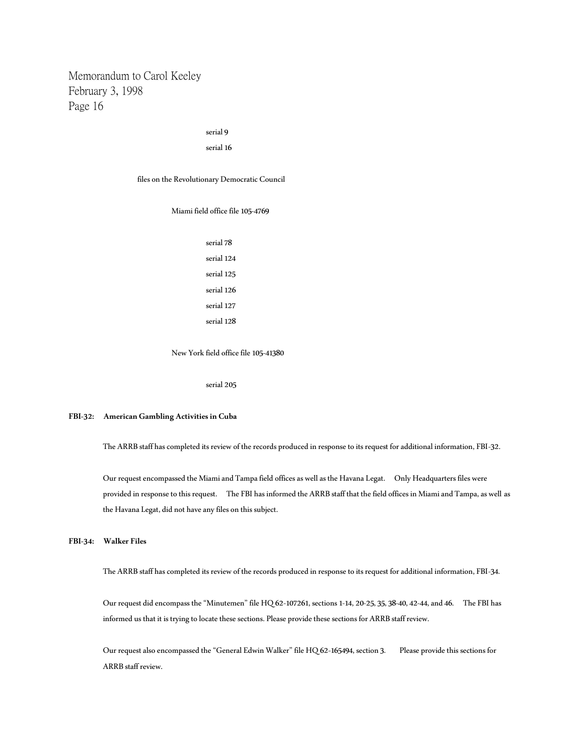## serial 9

#### serial 16

files on the Revolutionary Democratic Council

Miami field office file 105-4769

serial 78 serial 124 serial 125 serial 126 serial 127 serial 128

New York field office file 105-41380

serial 205

### **FBI-32: American Gambling Activities in Cuba**

The ARRB staff has completed its review of the records produced in response to its request for additional information, FBI-32.

Our request encompassed the Miami and Tampa field offices as well as the Havana Legat. Only Headquarters files were provided in response to this request. The FBI has informed the ARRB staff that the field offices in Miami and Tampa, as well as the Havana Legat, did not have any files on this subject.

**FBI-34: Walker Files**

The ARRB staff has completed its review of the records produced in response to its request for additional information, FBI-34.

Our request did encompass the "Minutemen" file HQ 62-107261, sections 1-14, 20-25, 35, 38-40, 42-44, and 46. The FBI has informed us that it is trying to locate these sections. Please provide these sections for ARRB staff review.

Our request also encompassed the "General Edwin Walker" file HQ 62-165494, section 3. Please provide this sections for ARRB staff review.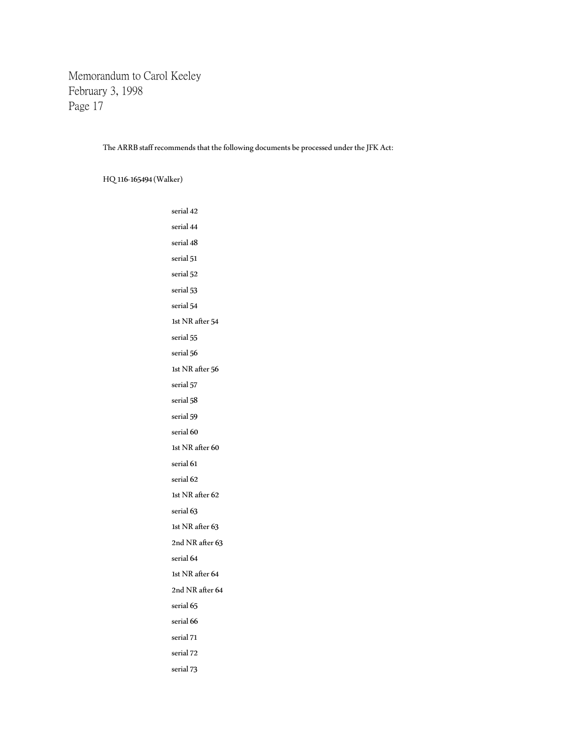The ARRB staff recommends that the following documents be processed under the JFK Act:

HQ 116-165494 (Walker)

serial 42 serial 44 serial 48 serial 51 serial 52 serial 53 serial 54 1st NR after 54 serial 55 serial 56 1st NR after 56 serial 57 serial 58 serial 59 serial 60 1st NR after 60 serial 61 serial 62 1st NR after 62 serial 63 1st NR after 63 2nd NR after 63 serial 64 1st NR after 64 2nd NR after 64 serial 65 serial 66 serial 71 serial 72 serial 73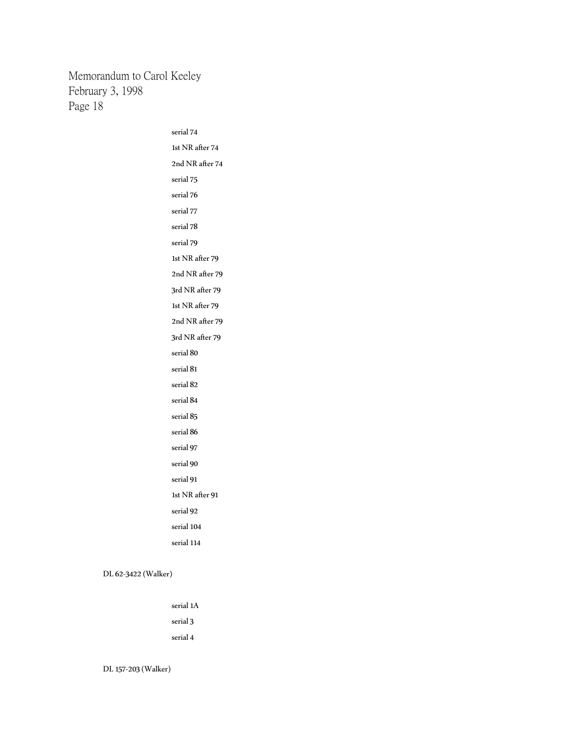> serial 74 1st NR after 74 2nd NR after 74 serial 75 serial 76 serial 77 serial 78 serial 79 1st NR after 79 2nd NR after 79 3rd NR after 79 1st NR after 79 2nd NR after 79 3rd NR after 79 serial 80 serial 81 serial 82 serial 84 serial 85 serial 86 serial 97 serial 90 serial 91 1st NR after 91 serial 92 serial 104 serial 114

DL 62-3422 (Walker)

serial 1A serial 3 serial 4

DL 157-203 (Walker)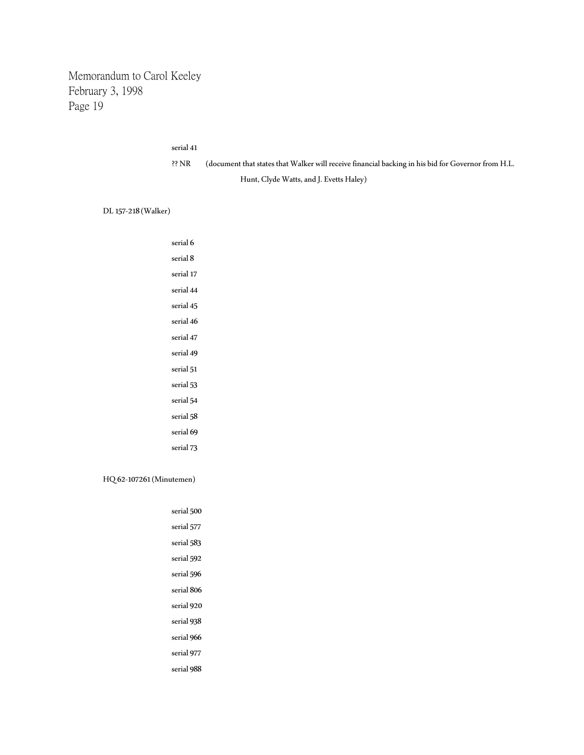## serial 41

| ?? NR | (document that states that Walker will receive financial backing in his bid for Governor from H.L. |
|-------|----------------------------------------------------------------------------------------------------|
|       | Hunt, Clyde Watts, and J. Evetts Haley)                                                            |

DL 157-218 (Walker)

| serial 6                 |  |  |
|--------------------------|--|--|
| serial 8                 |  |  |
| serial 17                |  |  |
| serial 44                |  |  |
| serial 45                |  |  |
| serial 46                |  |  |
| serial 47                |  |  |
| serial 49                |  |  |
| serial 51                |  |  |
| serial 53                |  |  |
| serial 54                |  |  |
| serial 58                |  |  |
| serial 69                |  |  |
| serial 73                |  |  |
|                          |  |  |
| HQ 62-107261 (Minutemen) |  |  |

| serial 500 |
|------------|
| serial 577 |
| serial 583 |
| serial 592 |
| serial 596 |
| serial 806 |
| serial 920 |
| serial 938 |
| serial 966 |
| serial 977 |
| serial 988 |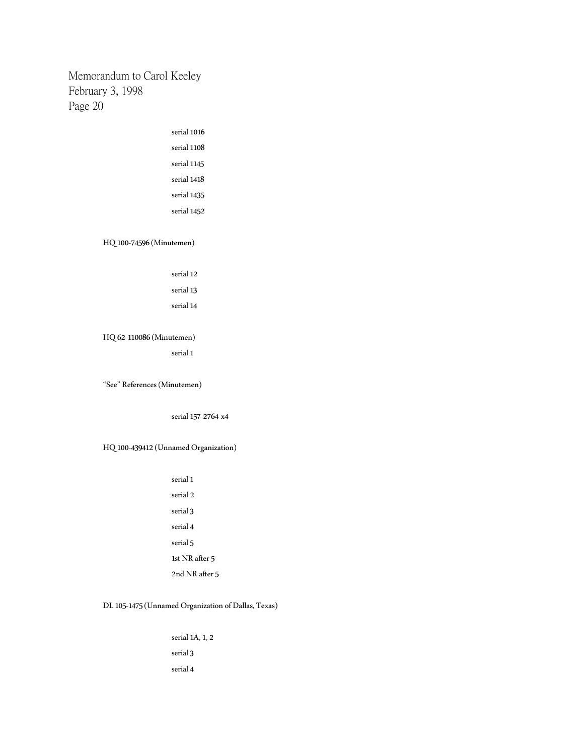| serial 1016 |
|-------------|
| serial 1108 |
| serial 1145 |
| serial 1418 |
| serial 1435 |
| serial 1452 |
|             |

## HQ 100-74596 (Minutemen)

| serial 12 |  |
|-----------|--|
| serial 13 |  |

# serial 14

HQ 62-110086 (Minutemen)

serial 1

"See" References (Minutemen)

serial 157-2764-x4

## HQ 100-439412 (Unnamed Organization)

serial 1 serial 2 serial 3 serial 4 serial 5 1st NR after 5 2nd NR after 5

## DL 105-1475 (Unnamed Organization of Dallas, Texas)

serial 1A, 1, 2 serial 3 serial 4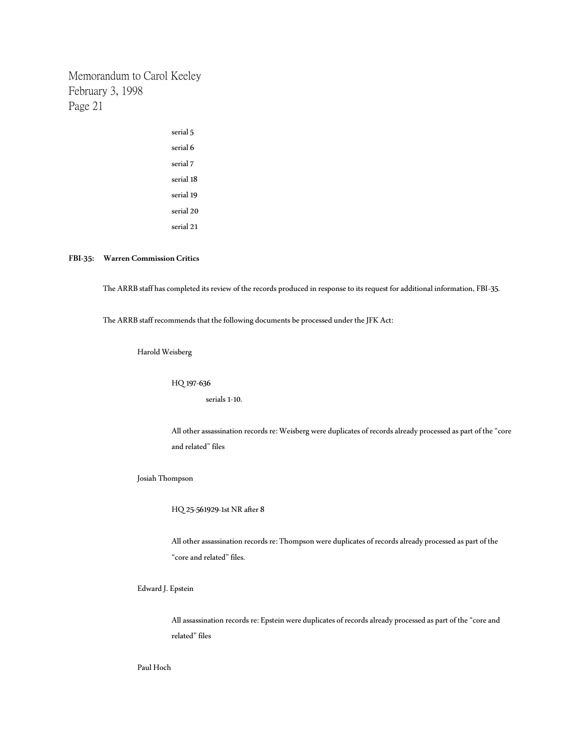> serial 5 serial 6 serial 7 serial 18 serial 19 serial 20 serial 21

## **FBI-35: Warren Commission Critics**

The ARRB staff has completed its review of the records produced in response to its request for additional information, FBI-35.

The ARRB staff recommends that the following documents be processed under the JFK Act:

Harold Weisberg

HQ 197-636

serials 1-10.

All other assassination records re: Weisberg were duplicates of records already processed as part of the "core and related" files

Josiah Thompson

HQ 25-561929-1st NR after 8

All other assassination records re: Thompson were duplicates of records already processed as part of the "core and related" files.

Edward J. Epstein

All assassination records re: Epstein were duplicates of records already processed as part of the "core and related" files

Paul Hoch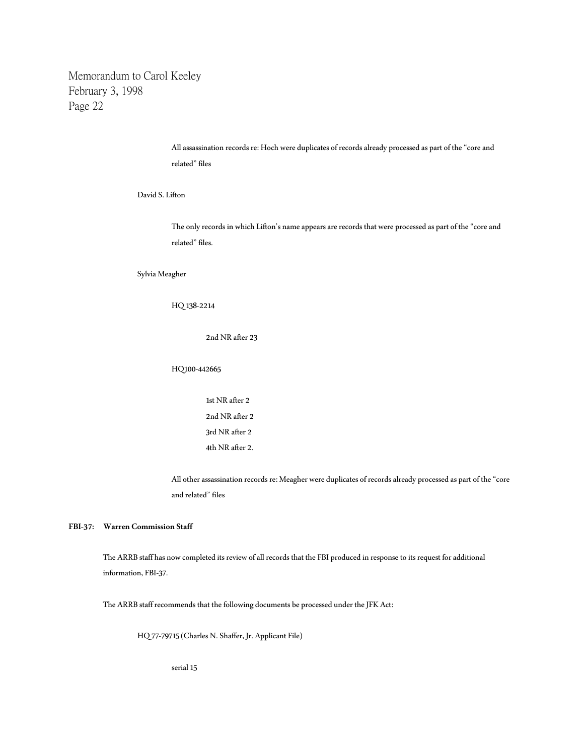> All assassination records re: Hoch were duplicates of records already processed as part of the "core and related" files

David S. Lifton

The only records in which Lifton's name appears are records that were processed as part of the "core and related" files.

Sylvia Meagher

## HQ 138-2214

2nd NR after 23

## HQ100-442665

1st NR after 2 2nd NR after 2 3rd NR after 2 4th NR after 2.

All other assassination records re: Meagher were duplicates of records already processed as part of the "core and related" files

### **FBI-37: Warren Commission Staff**

The ARRB staff has now completed its review of all records that the FBI produced in response to its request for additional information, FBI-37.

The ARRB staff recommends that the following documents be processed under the JFK Act:

HQ 77-79715 (Charles N. Shaffer, Jr. Applicant File)

serial 15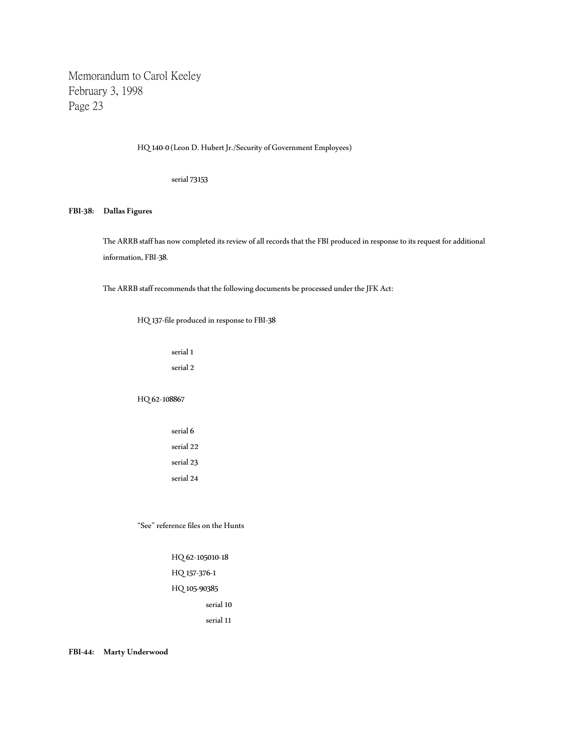HQ 140-0 (Leon D. Hubert Jr./Security of Government Employees)

serial 73153

### **FBI-38: Dallas Figures**

The ARRB staff has now completed its review of all records that the FBI produced in response to its request for additional information, FBI-38.

The ARRB staff recommends that the following documents be processed under the JFK Act:

HQ 137-file produced in response to FBI-38

serial 1 serial 2

HQ 62-108867

serial 6 serial 22 serial 23 serial 24

"See" reference files on the Hunts

HQ 62-105010-18 HQ 157-376-1

HQ 105-90385

serial 10

serial 11

**FBI-44: Marty Underwood**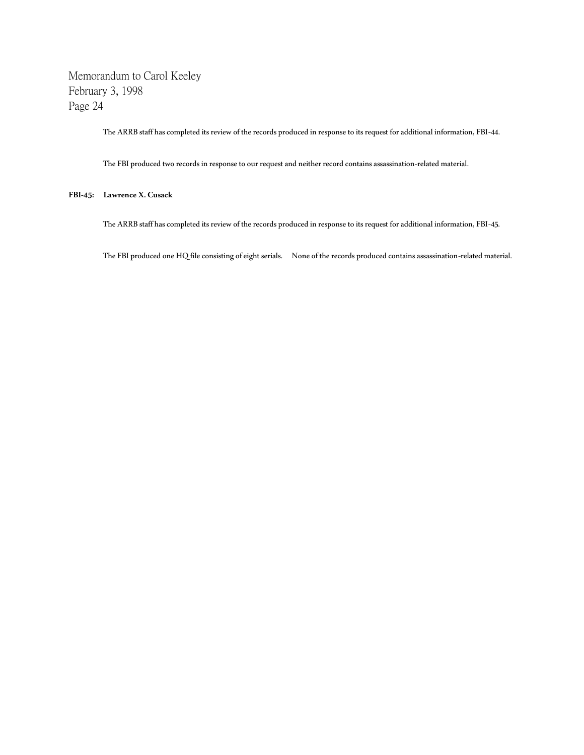The ARRB staff has completed its review of the records produced in response to its request for additional information, FBI-44.

The FBI produced two records in response to our request and neither record contains assassination-related material.

## **FBI-45: Lawrence X. Cusack**

The ARRB staff has completed its review of the records produced in response to its request for additional information, FBI-45.

The FBI produced one HQ file consisting of eight serials. None of the records produced contains assassination-related material.